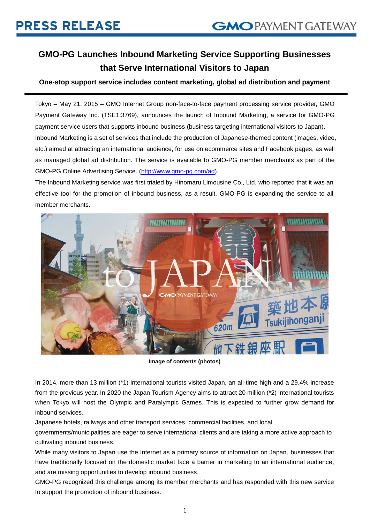# **GMO-PG Launches Inbound Marketing Service Supporting Businesses that Serve International Visitors to Japan**

## **One-stop support service includes content marketing, global ad distribution and payment**

Tokyo – May 21, 2015 – GMO Internet Group non-face-to-face payment processing service provider, GMO Payment Gateway Inc. (TSE1:3769), announces the launch of Inbound Marketing, a service for GMO-PG payment service users that supports inbound business (business targeting international visitors to Japan). Inbound Marketing is a set of services that include the production of Japanese-themed content (images, video, etc.) aimed at attracting an international audience, for use on ecommerce sites and Facebook pages, as well as managed global ad distribution. The service is available to GMO-PG member merchants as part of the GMO-PG Online Advertising Service. [\(http://www.gmo-pg.com/ad\)](http://www.gmo-pg.com/ad).

The Inbound Marketing service was first trialed by Hinomaru Limousine Co., Ltd. who reported that it was an effective tool for the promotion of inbound business, as a result, GMO-PG is expanding the service to all member merchants.



**Image of contents (photos)**

In 2014, more than 13 million (\*1) international tourists visited Japan, an all-time high and a 29.4% increase from the previous year. In 2020 the Japan Tourism Agency aims to attract 20 million (\*2) international tourists when Tokyo will host the Olympic and Paralympic Games. This is expected to further grow demand for inbound services.

Japanese hotels, railways and other transport services, commercial facilities, and local

governments/municipalities are eager to serve international clients and are taking a more active approach to cultivating inbound business.

While many visitors to Japan use the Internet as a primary source of information on Japan, businesses that have traditionally focused on the domestic market face a barrier in marketing to an international audience, and are missing opportunities to develop inbound business.

GMO-PG recognized this challenge among its member merchants and has responded with this new service to support the promotion of inbound business.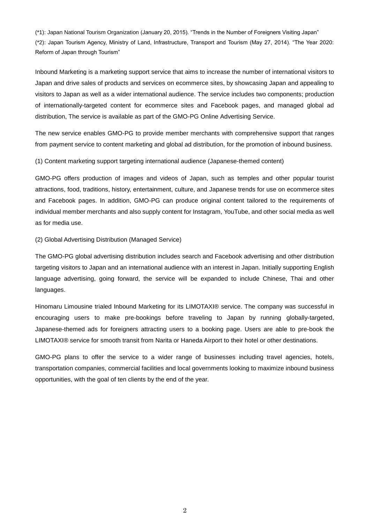(\*1): Japan National Tourism Organization (January 20, 2015). "Trends in the Number of Foreigners Visiting Japan" (\*2): Japan Tourism Agency, Ministry of Land, Infrastructure, Transport and Tourism (May 27, 2014). "The Year 2020: Reform of Japan through Tourism"

Inbound Marketing is a marketing support service that aims to increase the number of international visitors to Japan and drive sales of products and services on ecommerce sites, by showcasing Japan and appealing to visitors to Japan as well as a wider international audience. The service includes two components; production of internationally-targeted content for ecommerce sites and Facebook pages, and managed global ad distribution, The service is available as part of the GMO-PG Online Advertising Service.

The new service enables GMO-PG to provide member merchants with comprehensive support that ranges from payment service to content marketing and global ad distribution, for the promotion of inbound business.

(1) Content marketing support targeting international audience (Japanese-themed content)

GMO-PG offers production of images and videos of Japan, such as temples and other popular tourist attractions, food, traditions, history, entertainment, culture, and Japanese trends for use on ecommerce sites and Facebook pages. In addition, GMO-PG can produce original content tailored to the requirements of individual member merchants and also supply content for Instagram, YouTube, and other social media as well as for media use.

(2) Global Advertising Distribution (Managed Service)

The GMO-PG global advertising distribution includes search and Facebook advertising and other distribution targeting visitors to Japan and an international audience with an interest in Japan. Initially supporting English language advertising, going forward, the service will be expanded to include Chinese, Thai and other languages.

Hinomaru Limousine trialed Inbound Marketing for its LIMOTAXI® service. The company was successful in encouraging users to make pre-bookings before traveling to Japan by running globally-targeted, Japanese-themed ads for foreigners attracting users to a booking page. Users are able to pre-book the LIMOTAXI® service for smooth transit from Narita or Haneda Airport to their hotel or other destinations.

GMO-PG plans to offer the service to a wider range of businesses including travel agencies, hotels, transportation companies, commercial facilities and local governments looking to maximize inbound business opportunities, with the goal of ten clients by the end of the year.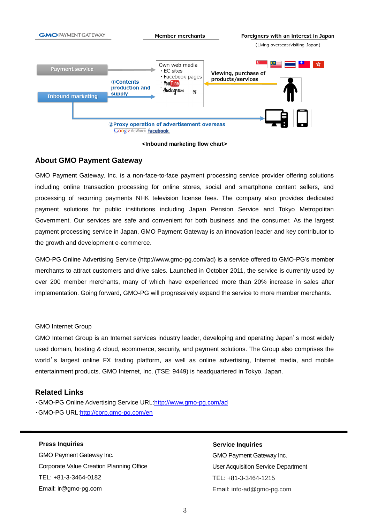

#### **<Inbound marketing flow chart>**

## **About GMO Payment Gateway**

GMO Payment Gateway, Inc. is a non-face-to-face payment processing service provider offering solutions including online transaction processing for online stores, social and smartphone content sellers, and processing of recurring payments NHK television license fees. The company also provides dedicated payment solutions for public institutions including Japan Pension Service and Tokyo Metropolitan Government. Our services are safe and convenient for both business and the consumer. As the largest payment processing service in Japan, GMO Payment Gateway is an innovation leader and key contributor to the growth and development e-commerce.

GMO-PG Online Advertising Service (http://www.gmo-pg.com/ad) is a service offered to GMO-PG's member merchants to attract customers and drive sales. Launched in October 2011, the service is currently used by over 200 member merchants, many of which have experienced more than 20% increase in sales after implementation. Going forward, GMO-PG will progressively expand the service to more member merchants.

#### GMO Internet Group

GMO Internet Group is an Internet services industry leader, developing and operating Japan's most widely used domain, hosting & cloud, ecommerce, security, and payment solutions. The Group also comprises the world's largest online FX trading platform, as well as online advertising, Internet media, and mobile entertainment products. GMO Internet, Inc. (TSE: 9449) is headquartered in Tokyo, Japan.

### **Related Links**

・GMO-PG Online Advertising Service URL[:http://www.gmo-pg.com/ad](http://www.gmo-pg.com/ad) ・GMO-PG URL[:http://corp.gmo-pg.com/en](http://corp.gmo-pg.com/en)

### **Press Inquiries**

GMO Payment Gateway Inc. Corporate Value Creation Planning Office TEL: +81-3-3464-0182 Email: ir@gmo-pg.com

### **Service Inquiries**

GMO Payment Gateway Inc. User Acquisition Service Department TEL: +81-3-3464-1215 Email: info-ad@gmo-pg.com